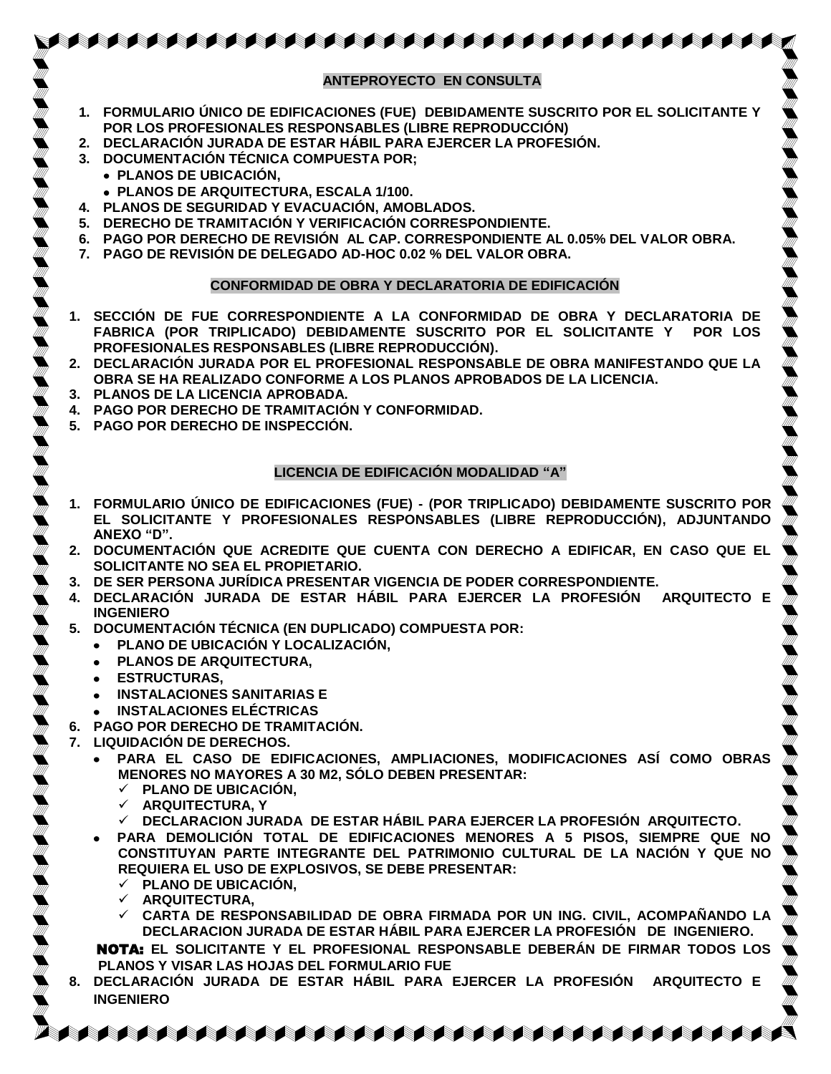### **ANTEPROYECTO EN CONSULTA**

AAAAAAAAAAAAAAAAAAAAAAAAAAAAAAAAAAAA

- **1. [FORMULARIO ÚNICO DE EDIFICACIONES \(FUE\)](http://www.mdsmp.gob.pe/data_files/fue-lic.pdf) DEBIDAMENTE SUSCRITO POR EL SOLICITANTE Y POR LOS PROFESIONALES RESPONSABLES (LIBRE REPRODUCCIÓN)**
- **2. DECLARACIÓN JURADA DE ESTAR HÁBIL PARA EJERCER LA PROFESIÓN.**
- **3. DOCUMENTACIÓN TÉCNICA COMPUESTA POR;** 
	- **PLANOS DE UBICACIÓN,**
	- **PLANOS DE ARQUITECTURA, ESCALA 1/100.**
- **4. PLANOS DE SEGURIDAD Y EVACUACIÓN, AMOBLADOS.**
- **5. DERECHO DE TRAMITACIÓN Y VERIFICACIÓN CORRESPONDIENTE.**
- **6. PAGO POR DERECHO DE REVISIÓN AL CAP. CORRESPONDIENTE AL 0.05% DEL VALOR OBRA.**
- **7. PAGO DE REVISIÓN DE DELEGADO AD-HOC 0.02 % DEL VALOR OBRA.**

#### **CONFORMIDAD DE OBRA Y DECLARATORIA DE EDIFICACIÓN**

- **1. SECCIÓN DE FUE CORRESPONDIENTE A LA CONFORMIDAD DE OBRA Y DECLARATORIA DE FABRICA (POR TRIPLICADO) DEBIDAMENTE SUSCRITO POR EL SOLICITANTE Y POR LOS PROFESIONALES RESPONSABLES (LIBRE REPRODUCCIÓN).**
- **2. DECLARACIÓN JURADA POR EL PROFESIONAL RESPONSABLE DE OBRA MANIFESTANDO QUE LA OBRA SE HA REALIZADO CONFORME A LOS PLANOS APROBADOS DE LA LICENCIA.**
- **3. PLANOS DE LA LICENCIA APROBADA.**
- **4. PAGO POR DERECHO DE TRAMITACIÓN Y CONFORMIDAD.**
- **5. PAGO POR DERECHO DE INSPECCIÓN.**

#### **LICENCIA DE EDIFICACIÓN MODALIDAD "A"**

- **1. FORMULARIO ÚNICO [DE EDIFICACIONES \(FUE\) -](http://www.mdsmp.gob.pe/data_files/fue-lic.pdf) (POR TRIPLICADO) DEBIDAMENTE SUSCRITO POR EL SOLICITANTE Y PROFESIONALES RESPONSABLES (LIBRE REPRODUCCIÓN), ADJUNTANDO ANEXO "D".**
- **2. DOCUMENTACIÓN QUE ACREDITE QUE CUENTA CON DERECHO A EDIFICAR, EN CASO QUE EL SOLICITANTE NO SEA EL PROPIETARIO.**
- **3. DE SER PERSONA JURÍDICA PRESENTAR VIGENCIA DE PODER CORRESPONDIENTE.**
- **4. DECLARACIÓN JURADA DE ESTAR HÁBIL PARA EJERCER LA PROFESIÓN ARQUITECTO E INGENIERO**
- **5. DOCUMENTACIÓN TÉCNICA (EN DUPLICADO) COMPUESTA POR:**
	- **PLANO DE UBICACIÓN Y LOCALIZACIÓN,**  $\bullet$
	- **PLANOS DE ARQUITECTURA,**
	- **ESTRUCTURAS,**   $\bullet$
	- **INSTALACIONES SANITARIAS E**  $\bullet$
	- **INSTALACIONES ELÉCTRICAS**
- **6. PAGO POR DERECHO DE TRAMITACIÓN.**
- **7. LIQUIDACIÓN DE DERECHOS.**
	- **PARA EL CASO DE EDIFICACIONES, AMPLIACIONES, MODIFICACIONES ASÍ COMO OBRAS MENORES NO MAYORES A 30 M2, SÓLO DEBEN PRESENTAR:**
		- **PLANO DE UBICACIÓN,**
		- **ARQUITECTURA, Y**
		- **DECLARACION JURADA DE ESTAR HÁBIL PARA EJERCER LA PROFESIÓN ARQUITECTO.**
	- **PARA DEMOLICIÓN TOTAL DE EDIFICACIONES MENORES A 5 PISOS, SIEMPRE QUE NO**   $\bullet$ **CONSTITUYAN PARTE INTEGRANTE DEL PATRIMONIO CULTURAL DE LA NACIÓN Y QUE NO REQUIERA EL USO DE EXPLOSIVOS, SE DEBE PRESENTAR:**
		- **PLANO DE UBICACIÓN,**
		- **ARQUITECTURA,**
		- **CARTA DE RESPONSABILIDAD DE OBRA FIRMADA POR UN ING. CIVIL, ACOMPAÑANDO LA DECLARACION JURADA DE ESTAR HÁBIL PARA EJERCER LA PROFESIÓN DE INGENIERO.**

 NOTA: **EL SOLICITANTE Y EL PROFESIONAL RESPONSABLE DEBERÁN DE FIRMAR TODOS LOS PLANOS Y VISAR LAS HOJAS DEL FORMULARIO FUE**

**8. DECLARACIÓN JURADA DE ESTAR HÁBIL PARA EJERCER LA PROFESIÓN ARQUITECTO E INGENIERO** 

**A BARA A BARA SA BARA SA BARA NA BARA SA BARA SA BARA SA BARA SA BARA SA BARA SA BARA SA BARA SA BARA SA BARA S**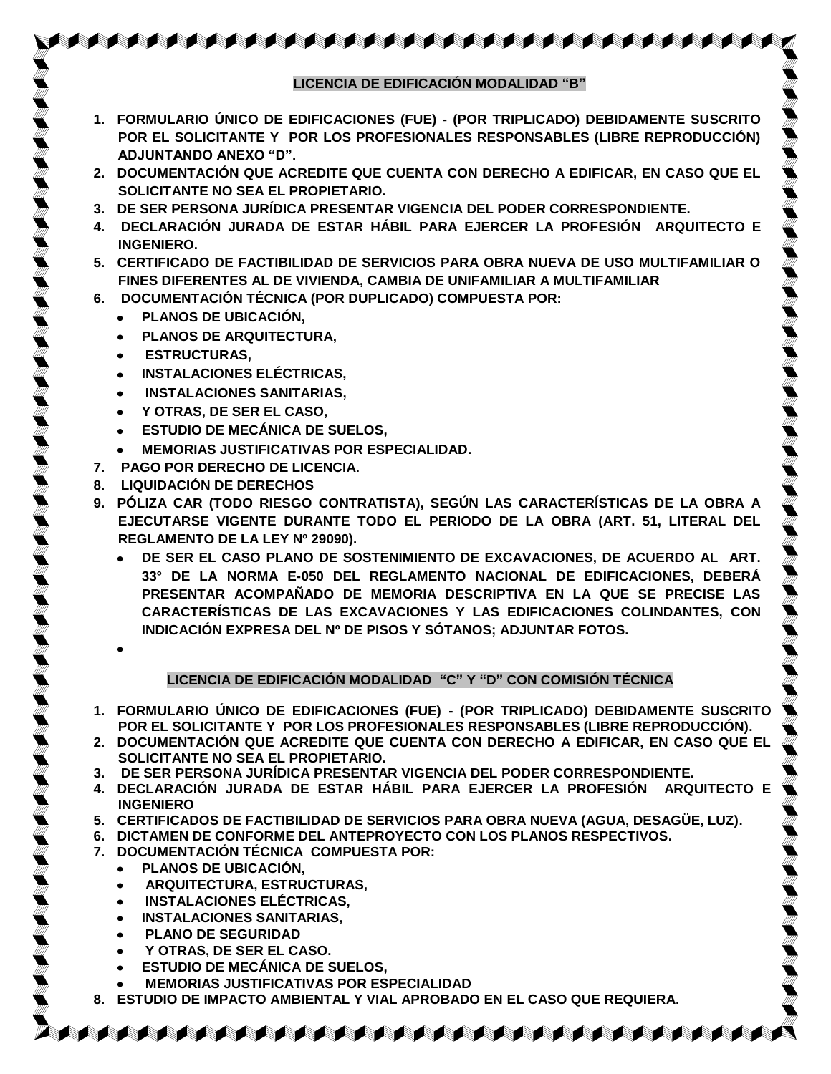- **1. [FORMULARIO ÚNICO DE EDIFICACIONES \(FUE\) -](http://www.mdsmp.gob.pe/data_files/fue-lic.pdf) (POR TRIPLICADO) DEBIDAMENTE SUSCRITO POR EL SOLICITANTE Y POR LOS PROFESIONALES RESPONSABLES (LIBRE REPRODUCCIÓN) ADJUNTANDO ANEXO "D".**
- **2. DOCUMENTACIÓN QUE ACREDITE QUE CUENTA CON DERECHO A EDIFICAR, EN CASO QUE EL SOLICITANTE NO SEA EL PROPIETARIO.**
- **3. DE SER PERSONA JURÍDICA PRESENTAR VIGENCIA DEL PODER CORRESPONDIENTE.**
- **4. DECLARACIÓN JURADA DE ESTAR HÁBIL PARA EJERCER LA PROFESIÓN ARQUITECTO E INGENIERO.**
- **5. CERTIFICADO DE FACTIBILIDAD DE SERVICIOS PARA OBRA NUEVA DE USO MULTIFAMILIAR O FINES DIFERENTES AL DE VIVIENDA, CAMBIA DE UNIFAMILIAR A MULTIFAMILIAR**
- **6. DOCUMENTACIÓN TÉCNICA (POR DUPLICADO) COMPUESTA POR:** 
	- $\bullet$ **PLANOS DE UBICACIÓN,**
	- **PLANOS DE ARQUITECTURA,**
	- **ESTRUCTURAS,**
	- **INSTALACIONES ELÉCTRICAS,**
	- **INSTALACIONES SANITARIAS,**
	- **Y OTRAS, DE SER EL CASO,**
	- **ESTUDIO DE MECÁNICA DE SUELOS,**
	- **MEMORIAS JUSTIFICATIVAS POR ESPECIALIDAD.**  $\bullet$
- **7. PAGO POR DERECHO DE LICENCIA.**
- **8. LIQUIDACIÓN DE DERECHOS**
- **9. PÓLIZA CAR (TODO RIESGO CONTRATISTA), SEGÚN LAS CARACTERÍSTICAS DE LA OBRA A EJECUTARSE VIGENTE DURANTE TODO EL PERIODO DE LA OBRA (ART. 51, LITERAL DEL REGLAMENTO DE LA LEY Nº 29090).**
	- **DE SER EL CASO PLANO DE SOSTENIMIENTO DE EXCAVACIONES, DE ACUERDO AL ART. 33° DE LA NORMA E-050 DEL REGLAMENTO NACIONAL DE EDIFICACIONES, DEBERÁ PRESENTAR ACOMPAÑADO DE MEMORIA DESCRIPTIVA EN LA QUE SE PRECISE LAS CARACTERÍSTICAS DE LAS EXCAVACIONES Y LAS EDIFICACIONES COLINDANTES, CON INDICACIÓN EXPRESA DEL Nº DE PISOS Y SÓTANOS; ADJUNTAR FOTOS.**

#### **LICENCIA DE EDIFICACIÓN MODALIDAD "C" Y "D" CON COMISIÓN TÉCNICA**

- **1. [FORMULARIO ÚNICO DE EDIFICACIONES \(FUE\) -](http://www.mdsmp.gob.pe/data_files/fue-lic.pdf) (POR TRIPLICADO) DEBIDAMENTE SUSCRITO POR EL SOLICITANTE Y POR LOS PROFESIONALES RESPONSABLES (LIBRE REPRODUCCIÓN).**
- **2. DOCUMENTACIÓN QUE ACREDITE QUE CUENTA CON DERECHO A EDIFICAR, EN CASO QUE EL SOLICITANTE NO SEA EL PROPIETARIO.**
- **3. DE SER PERSONA JURÍDICA PRESENTAR VIGENCIA DEL PODER CORRESPONDIENTE.**
- **4. DECLARACIÓN JURADA DE ESTAR HÁBIL PARA EJERCER LA PROFESIÓN ARQUITECTO E INGENIERO**
- **5. CERTIFICADOS DE FACTIBILIDAD DE SERVICIOS PARA OBRA NUEVA (AGUA, DESAGÜE, LUZ).**
- **6. DICTAMEN DE CONFORME DEL ANTEPROYECTO CON LOS PLANOS RESPECTIVOS.**
- **7. DOCUMENTACIÓN TÉCNICA COMPUESTA POR:** 
	- **PLANOS DE UBICACIÓN,**   $\bullet$
	- **ARQUITECTURA, ESTRUCTURAS,**
	- **INSTALACIONES ELÉCTRICAS,**
	- **INSTALACIONES SANITARIAS,**
	- **PLANO DE SEGURIDAD**
	- **Y OTRAS, DE SER EL CASO.**
	- **ESTUDIO DE MECÁNICA DE SUELOS,**
	- **MEMORIAS JUSTIFICATIVAS POR ESPECIALIDAD**
- **8. ESTUDIO DE IMPACTO AMBIENTAL Y VIAL APROBADO EN EL CASO QUE REQUIERA.**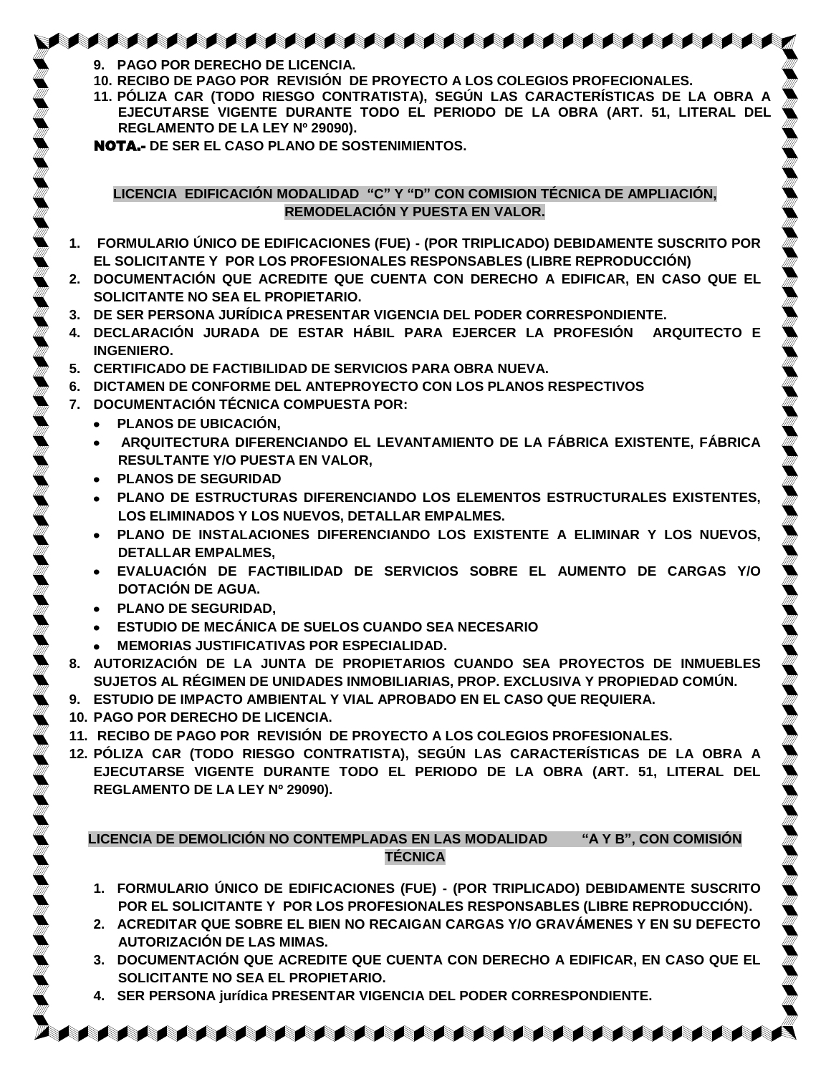- **9. PAGO POR DERECHO DE LICENCIA.**
- **10. RECIBO DE PAGO POR REVISIÓN DE PROYECTO A LOS COLEGIOS PROFECIONALES.**
- **11. PÓLIZA CAR (TODO RIESGO CONTRATISTA), SEGÚN LAS CARACTERÍSTICAS DE LA OBRA A EJECUTARSE VIGENTE DURANTE TODO EL PERIODO DE LA OBRA (ART. 51, LITERAL DEL REGLAMENTO DE LA LEY Nº 29090).**

NOTA.- **DE SER EL CASO PLANO DE SOSTENIMIENTOS.**

**LICENCIA EDIFICACIÓN MODALIDAD "C" Y "D" CON COMISION TÉCNICA DE AMPLIACIÓN, REMODELACIÓN Y PUESTA EN VALOR.**

- **1. [FORMULARIO ÚNICO DE EDIFICACIONES \(FUE\) -](http://www.mdsmp.gob.pe/data_files/fue-lic.pdf) (POR TRIPLICADO) DEBIDAMENTE SUSCRITO POR EL SOLICITANTE Y POR LOS PROFESIONALES RESPONSABLES (LIBRE REPRODUCCIÓN)**
- **2. DOCUMENTACIÓN QUE ACREDITE QUE CUENTA CON DERECHO A EDIFICAR, EN CASO QUE EL SOLICITANTE NO SEA EL PROPIETARIO.**
- **3. DE SER PERSONA JURÍDICA PRESENTAR VIGENCIA DEL PODER CORRESPONDIENTE.**
- **4. DECLARACIÓN JURADA DE ESTAR HÁBIL PARA EJERCER LA PROFESIÓN ARQUITECTO E INGENIERO.**
- **5. CERTIFICADO DE FACTIBILIDAD DE SERVICIOS PARA OBRA NUEVA.**
- **6. DICTAMEN DE CONFORME DEL ANTEPROYECTO CON LOS PLANOS RESPECTIVOS**
- **7. DOCUMENTACIÓN TÉCNICA COMPUESTA POR:**
	- $\bullet$ **PLANOS DE UBICACIÓN,**
	- **ARQUITECTURA DIFERENCIANDO EL LEVANTAMIENTO DE LA FÁBRICA EXISTENTE, FÁBRICA RESULTANTE Y/O PUESTA EN VALOR,**
	- $\bullet$ **PLANOS DE SEGURIDAD**
	- **PLANO DE ESTRUCTURAS DIFERENCIANDO LOS ELEMENTOS ESTRUCTURALES EXISTENTES, LOS ELIMINADOS Y LOS NUEVOS, DETALLAR EMPALMES.**
	- **PLANO DE INSTALACIONES DIFERENCIANDO LOS EXISTENTE A ELIMINAR Y LOS NUEVOS, DETALLAR EMPALMES,**
	- **EVALUACIÓN DE FACTIBILIDAD DE SERVICIOS SOBRE EL AUMENTO DE CARGAS Y/O DOTACIÓN DE AGUA.**
	- **PLANO DE SEGURIDAD,**
	- **ESTUDIO DE MECÁNICA DE SUELOS CUANDO SEA NECESARIO**
	- **MEMORIAS JUSTIFICATIVAS POR ESPECIALIDAD.**
- **8. AUTORIZACIÓN DE LA JUNTA DE PROPIETARIOS CUANDO SEA PROYECTOS DE INMUEBLES SUJETOS AL RÉGIMEN DE UNIDADES INMOBILIARIAS, PROP. EXCLUSIVA Y PROPIEDAD COMÚN.**
- **9. ESTUDIO DE IMPACTO AMBIENTAL Y VIAL APROBADO EN EL CASO QUE REQUIERA.**
- **10. PAGO POR DERECHO DE LICENCIA.**
- **11. RECIBO DE PAGO POR REVISIÓN DE PROYECTO A LOS COLEGIOS PROFESIONALES.**
- **12. PÓLIZA CAR (TODO RIESGO CONTRATISTA), SEGÚN LAS CARACTERÍSTICAS DE LA OBRA A EJECUTARSE VIGENTE DURANTE TODO EL PERIODO DE LA OBRA (ART. 51, LITERAL DEL REGLAMENTO DE LA LEY Nº 29090).**

**LICENCIA DE DEMOLICIÓN NO CONTEMPLADAS EN LAS MODALIDAD "A Y B", CON COMISIÓN TÉCNICA**

- **1. [FORMULARIO ÚNICO DE EDIFICACIONES \(FUE\) -](http://www.mdsmp.gob.pe/data_files/fue-lic.pdf) (POR TRIPLICADO) DEBIDAMENTE SUSCRITO POR EL SOLICITANTE Y POR LOS PROFESIONALES RESPONSABLES (LIBRE REPRODUCCIÓN).**
- **2. ACREDITAR QUE SOBRE EL BIEN NO RECAIGAN CARGAS Y/O GRAVÁMENES Y EN SU DEFECTO AUTORIZACIÓN DE LAS MIMAS.**
- **3. DOCUMENTACIÓN QUE ACREDITE QUE CUENTA CON DERECHO A EDIFICAR, EN CASO QUE EL SOLICITANTE NO SEA EL PROPIETARIO.**

- **4. SER PERSONA jurídica PRESENTAR VIGENCIA DEL PODER CORRESPONDIENTE.**
- AAAAAAAAAAAAAAAAAAAAAAAAAAAAAAAAAAAA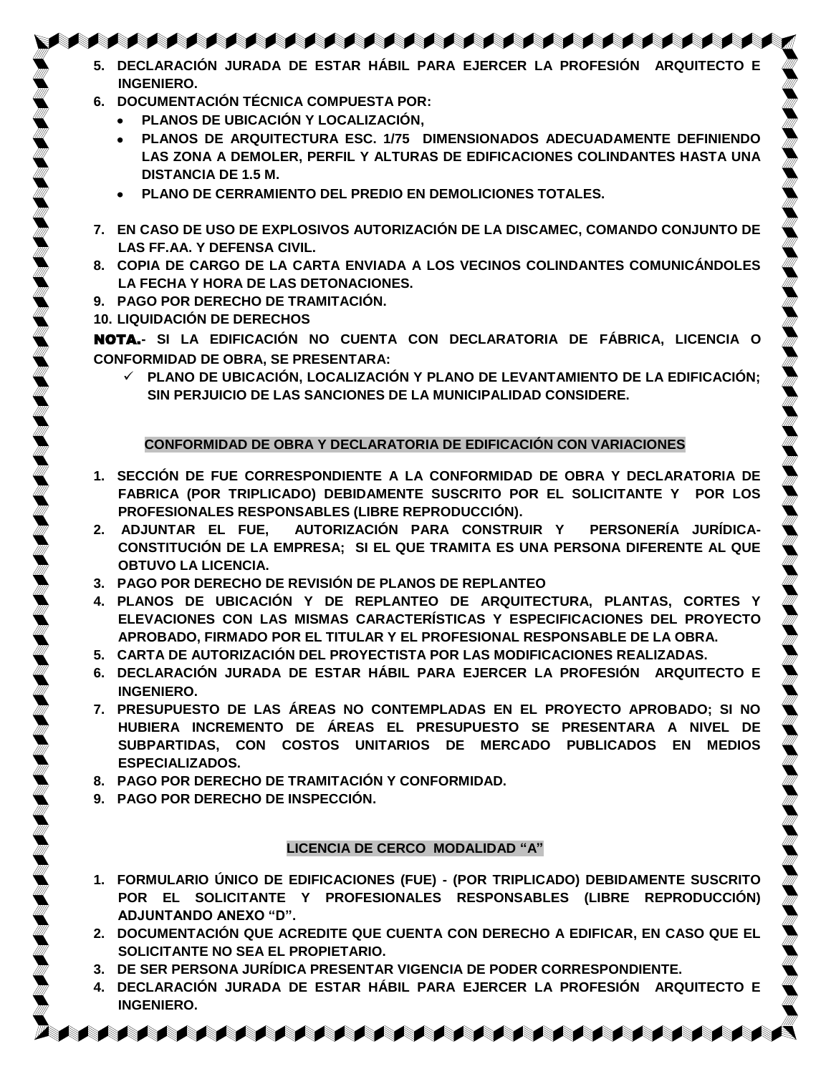- **5. DECLARACIÓN JURADA DE ESTAR HÁBIL PARA EJERCER LA PROFESIÓN ARQUITECTO E INGENIERO.**
- **6. DOCUMENTACIÓN TÉCNICA COMPUESTA POR:**
	- $\bullet$ **PLANOS DE UBICACIÓN Y LOCALIZACIÓN,**
	- **PLANOS DE ARQUITECTURA ESC. 1/75 DIMENSIONADOS ADECUADAMENTE DEFINIENDO**   $\bullet$ **LAS ZONA A DEMOLER, PERFIL Y ALTURAS DE EDIFICACIONES COLINDANTES HASTA UNA DISTANCIA DE 1.5 M.**
	- **PLANO DE CERRAMIENTO DEL PREDIO EN DEMOLICIONES TOTALES.**
- **7. EN CASO DE USO DE EXPLOSIVOS AUTORIZACIÓN DE LA DISCAMEC, COMANDO CONJUNTO DE LAS FF.AA. Y DEFENSA CIVIL.**
- **8. COPIA DE CARGO DE LA CARTA ENVIADA A LOS VECINOS COLINDANTES COMUNICÁNDOLES LA FECHA Y HORA DE LAS DETONACIONES.**
- **9. PAGO POR DERECHO DE TRAMITACIÓN.**
- **10. LIQUIDACIÓN DE DERECHOS**

NOTA.**- SI LA EDIFICACIÓN NO CUENTA CON DECLARATORIA DE FÁBRICA, LICENCIA O CONFORMIDAD DE OBRA, SE PRESENTARA:**

 **PLANO DE UBICACIÓN, LOCALIZACIÓN Y PLANO DE LEVANTAMIENTO DE LA EDIFICACIÓN; SIN PERJUICIO DE LAS SANCIONES DE LA MUNICIPALIDAD CONSIDERE.**

#### **CONFORMIDAD DE OBRA Y DECLARATORIA DE EDIFICACIÓN CON VARIACIONES**

- **1. SECCIÓN DE FUE CORRESPONDIENTE A LA CONFORMIDAD DE OBRA Y DECLARATORIA DE FABRICA (POR TRIPLICADO) DEBIDAMENTE SUSCRITO POR EL SOLICITANTE Y POR LOS PROFESIONALES RESPONSABLES (LIBRE REPRODUCCIÓN).**
- **2. ADJUNTAR EL FUE, AUTORIZACIÓN PARA CONSTRUIR Y PERSONERÍA JURÍDICA-CONSTITUCIÓN DE LA EMPRESA; SI EL QUE TRAMITA ES UNA PERSONA DIFERENTE AL QUE OBTUVO LA LICENCIA.**
- **3. PAGO POR DERECHO DE REVISIÓN DE PLANOS DE REPLANTEO**
- **4. PLANOS DE UBICACIÓN Y DE REPLANTEO DE ARQUITECTURA, PLANTAS, CORTES Y ELEVACIONES CON LAS MISMAS CARACTERÍSTICAS Y ESPECIFICACIONES DEL PROYECTO APROBADO, FIRMADO POR EL TITULAR Y EL PROFESIONAL RESPONSABLE DE LA OBRA.**
- **5. CARTA DE AUTORIZACIÓN DEL PROYECTISTA POR LAS MODIFICACIONES REALIZADAS.**
- **6. DECLARACIÓN JURADA DE ESTAR HÁBIL PARA EJERCER LA PROFESIÓN ARQUITECTO E INGENIERO.**
- **7. PRESUPUESTO DE LAS ÁREAS NO CONTEMPLADAS EN EL PROYECTO APROBADO; SI NO HUBIERA INCREMENTO DE ÁREAS EL PRESUPUESTO SE PRESENTARA A NIVEL DE SUBPARTIDAS, CON COSTOS UNITARIOS DE MERCADO PUBLICADOS EN MEDIOS ESPECIALIZADOS.**
- **8. PAGO POR DERECHO DE TRAMITACIÓN Y CONFORMIDAD.**
- **9. PAGO POR DERECHO DE INSPECCIÓN.**

#### **LICENCIA DE CERCO MODALIDAD "A"**

- **1. [FORMULARIO ÚNICO DE EDIFICACIONES \(FUE\) -](http://www.mdsmp.gob.pe/data_files/fue-lic.pdf) (POR TRIPLICADO) DEBIDAMENTE SUSCRITO POR EL SOLICITANTE Y PROFESIONALES RESPONSABLES (LIBRE REPRODUCCIÓN) ADJUNTANDO ANEXO "D".**
- **2. DOCUMENTACIÓN QUE ACREDITE QUE CUENTA CON DERECHO A EDIFICAR, EN CASO QUE EL SOLICITANTE NO SEA EL PROPIETARIO.**
- **3. DE SER PERSONA JURÍDICA PRESENTAR VIGENCIA DE PODER CORRESPONDIENTE.**
- **4. DECLARACIÓN JURADA DE ESTAR HÁBIL PARA EJERCER LA PROFESIÓN ARQUITECTO E INGENIERO.**

**A BERTA A BERTA KATA BERTA KATA BERTA BERTA BERTA BERTA**